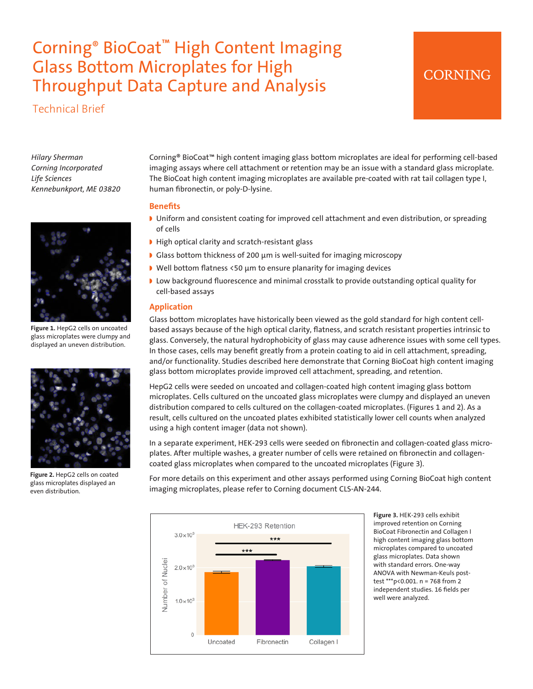# Corning® BioCoat™ High Content Imaging Glass Bottom Microplates for High Throughput Data Capture and Analysis

Technical Brief



*Hilary Sherman Corning Incorporated Life Sciences Kennebunkport, ME 03820*



**Figure 1.** HepG2 cells on uncoated glass microplates were clumpy and displayed an uneven distribution.



**Figure 2.** HepG2 cells on coated glass microplates displayed an even distribution.

Corning® BioCoat™ high content imaging glass bottom microplates are ideal for performing cell-based imaging assays where cell attachment or retention may be an issue with a standard glass microplate. The BioCoat high content imaging microplates are available pre-coated with rat tail collagen type I, human fibronectin, or poly-D-lysine.

## **Benefits**

- ◗ Uniform and consistent coating for improved cell attachment and even distribution, or spreading of cells
- ◗ High optical clarity and scratch-resistant glass
- ◗ Glass bottom thickness of 200 µm is well-suited for imaging microscopy
- ◗ Well bottom flatness <50 µm to ensure planarity for imaging devices
- ◗ Low background fluorescence and minimal crosstalk to provide outstanding optical quality for cell-based assays

## **Application**

Glass bottom microplates have historically been viewed as the gold standard for high content cellbased assays because of the high optical clarity, flatness, and scratch resistant properties intrinsic to glass. Conversely, the natural hydrophobicity of glass may cause adherence issues with some cell types. In those cases, cells may benefit greatly from a protein coating to aid in cell attachment, spreading, and/or functionality. Studies described here demonstrate that Corning BioCoat high content imaging glass bottom microplates provide improved cell attachment, spreading, and retention.

HepG2 cells were seeded on uncoated and collagen-coated high content imaging glass bottom microplates. Cells cultured on the uncoated glass microplates were clumpy and displayed an uneven distribution compared to cells cultured on the collagen-coated microplates. (Figures 1 and 2). As a result, cells cultured on the uncoated plates exhibited statistically lower cell counts when analyzed using a high content imager (data not shown).

In a separate experiment, HEK-293 cells were seeded on fibronectin and collagen-coated glass microplates. After multiple washes, a greater number of cells were retained on fibronectin and collagencoated glass microplates when compared to the uncoated microplates (Figure 3).

For more details on this experiment and other assays performed using Corning BioCoat high content imaging microplates, please refer to Corning document CLS-AN-244.



**Figure 3.** HEK-293 cells exhibit improved retention on Corning BioCoat Fibronectin and Collagen I high content imaging glass bottom microplates compared to uncoated glass microplates. Data shown with standard errors. One-way ANOVA with Newman-Keuls posttest \*\*\*p<0.001. n = 768 from 2 independent studies. 16 fields per well were analyzed.